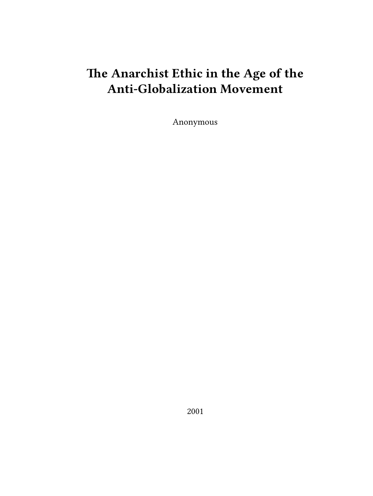# **The Anarchist Ethic in the Age of the Anti-Globalization Movement**

Anonymous

2001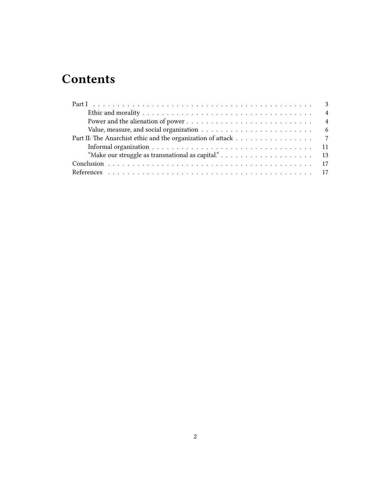# **Contents**

| Informal organization $\ldots \ldots \ldots \ldots \ldots \ldots \ldots \ldots \ldots \ldots \ldots$ |  |
|------------------------------------------------------------------------------------------------------|--|
|                                                                                                      |  |
|                                                                                                      |  |
|                                                                                                      |  |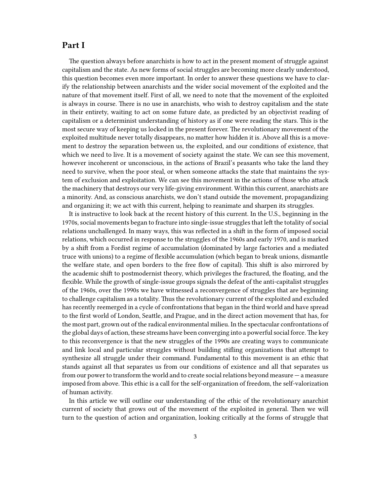## <span id="page-2-0"></span>**Part I**

The question always before anarchists is how to act in the present moment of struggle against capitalism and the state. As new forms of social struggles are becoming more clearly understood, this question becomes even more important. In order to answer these questions we have to clarify the relationship between anarchists and the wider social movement of the exploited and the nature of that movement itself. First of all, we need to note that the movement of the exploited is always in course. There is no use in anarchists, who wish to destroy capitalism and the state in their entirety, waiting to act on some future date, as predicted by an objectivist reading of capitalism or a determinist understanding of history as if one were reading the stars. This is the most secure way of keeping us locked in the present forever. The revolutionary movement of the exploited multitude never totally disappears, no matter how hidden it is. Above all this is a movement to destroy the separation between us, the exploited, and our conditions of existence, that which we need to live. It is a movement of society against the state. We can see this movement, however incoherent or unconscious, in the actions of Brazil's peasants who take the land they need to survive, when the poor steal, or when someone attacks the state that maintains the system of exclusion and exploitation. We can see this movement in the actions of those who attack the machinery that destroys our very life-giving environment. Within this current, anarchists are a minority. And, as conscious anarchists, we don't stand outside the movement, propagandizing and organizing it; we act with this current, helping to reanimate and sharpen its struggles.

It is instructive to look back at the recent history of this current. In the U.S., beginning in the 1970s, social movements began to fracture into single-issue struggles that left the totality of social relations unchallenged. In many ways, this was reflected in a shift in the form of imposed social relations, which occurred in response to the struggles of the 1960s and early 1970, and is marked by a shift from a Fordist regime of accumulation (dominated by large factories and a mediated truce with unions) to a regime of flexible accumulation (which began to break unions, dismantle the welfare state, and open borders to the free flow of capital). This shift is also mirrored by the academic shift to postmodernist theory, which privileges the fractured, the floating, and the flexible. While the growth of single-issue groups signals the defeat of the anti-capitalist struggles of the 1960s, over the 1990s we have witnessed a reconvergence of struggles that are beginning to challenge capitalism as a totality. Thus the revolutionary current of the exploited and excluded has recently reemerged in a cycle of confrontations that began in the third world and have spread to the first world of London, Seattle, and Prague, and in the direct action movement that has, for the most part, grown out of the radical environmental milieu. In the spectacular confrontations of the global days of action, these streams have been converging into a powerful social force.The key to this reconvergence is that the new struggles of the 1990s are creating ways to communicate and link local and particular struggles without building stifling organizations that attempt to synthesize all struggle under their command. Fundamental to this movement is an ethic that stands against all that separates us from our conditions of existence and all that separates us from our power to transform the world and to create social relations beyond measure — a measure imposed from above. This ethic is a call for the self-organization of freedom, the self-valorization of human activity.

In this article we will outline our understanding of the ethic of the revolutionary anarchist current of society that grows out of the movement of the exploited in general. Then we will turn to the question of action and organization, looking critically at the forms of struggle that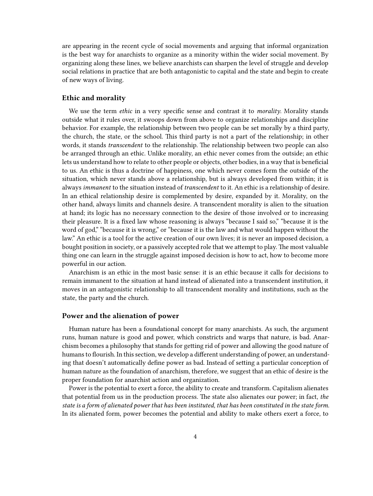are appearing in the recent cycle of social movements and arguing that informal organization is the best way for anarchists to organize as a minority within the wider social movement. By organizing along these lines, we believe anarchists can sharpen the level of struggle and develop social relations in practice that are both antagonistic to capital and the state and begin to create of new ways of living.

### <span id="page-3-0"></span>**Ethic and morality**

We use the term *ethic* in a very specific sense and contrast it to *morality*. Morality stands outside what it rules over, it swoops down from above to organize relationships and discipline behavior. For example, the relationship between two people can be set morally by a third party, the church, the state, or the school. This third party is not a part of the relationship; in other words, it stands *transcendent* to the relationship. The relationship between two people can also be arranged through an ethic. Unlike morality, an ethic never comes from the outside; an ethic lets us understand how to relate to other people or objects, other bodies, in a way that is beneficial to us. An ethic is thus a doctrine of happiness, one which never comes form the outside of the situation, which never stands above a relationship, but is always developed from within; it is always *immanent* to the situation instead of *transcendent* to it. An ethic is a relationship of desire. In an ethical relationship desire is complemented by desire, expanded by it. Morality, on the other hand, always limits and channels desire. A transcendent morality is alien to the situation at hand; its logic has no necessary connection to the desire of those involved or to increasing their pleasure. It is a fixed law whose reasoning is always "because I said so," "because it is the word of god," "because it is wrong," or "because it is the law and what would happen without the law." An ethic is a tool for the active creation of our own lives; it is never an imposed decision, a bought position in society, or a passively accepted role that we attempt to play. The most valuable thing one can learn in the struggle against imposed decision is how to act, how to become more powerful in our action.

Anarchism is an ethic in the most basic sense: it is an ethic because it calls for decisions to remain immanent to the situation at hand instead of alienated into a transcendent institution, it moves in an antagonistic relationship to all transcendent morality and institutions, such as the state, the party and the church.

#### <span id="page-3-1"></span>**Power and the alienation of power**

Human nature has been a foundational concept for many anarchists. As such, the argument runs, human nature is good and power, which constricts and warps that nature, is bad. Anarchism becomes a philosophy that stands for getting rid of power and allowing the good nature of humans to flourish. In this section, we develop a different understanding of power, an understanding that doesn't automatically define power as bad. Instead of setting a particular conception of human nature as the foundation of anarchism, therefore, we suggest that an ethic of desire is the proper foundation for anarchist action and organization.

Power is the potential to exert a force, the ability to create and transform. Capitalism alienates that potential from us in the production process. The state also alienates our power; in fact, *the state is a form of alienated power that has been instituted, that has been constituted in the state form*. In its alienated form, power becomes the potential and ability to make others exert a force, to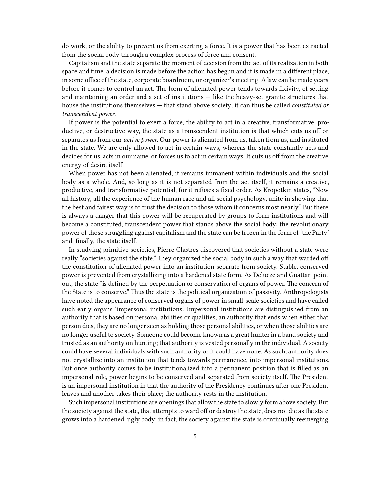do work, or the ability to prevent us from exerting a force. It is a power that has been extracted from the social body through a complex process of force and consent.

Capitalism and the state separate the moment of decision from the act of its realization in both space and time: a decision is made before the action has begun and it is made in a different place, in some office of the state, corporate boardroom, or organizer's meeting. A law can be made years before it comes to control an act. The form of alienated power tends towards fixivity, of setting and maintaining an order and a set of institutions — like the heavy-set granite structures that house the institutions themselves — that stand above society; it can thus be called *constituted or transcendent power*.

If power is the potential to exert a force, the ability to act in a creative, transformative, productive, or destructive way, the state as a transcendent institution is that which cuts us off or separates us from our *active power*. Our power is alienated from us, taken from us, and instituted in the state. We are only allowed to act in certain ways, whereas the state constantly acts and decides for us, acts in our name, or forces us to act in certain ways. It cuts us off from the creative energy of desire itself.

When power has not been alienated, it remains immanent within individuals and the social body as a whole. And, so long as it is not separated from the act itself, it remains a creative, productive, and transformative potential, for it refuses a fixed order. As Kropotkin states, "Now all history, all the experience of the human race and all social psychology, unite in showing that the best and fairest way is to trust the decision to those whom it concerns most nearly." But there is always a danger that this power will be recuperated by groups to form institutions and will become a constituted, transcendent power that stands above the social body: the revolutionary power of those struggling against capitalism and the state can be frozen in the form of 'the Party' and, finally, the state itself.

In studying primitive societies, Pierre Clastres discovered that societies without a state were really "societies against the state." They organized the social body in such a way that warded off the constitution of alienated power into an institution separate from society. Stable, conserved power is prevented from crystallizing into a hardened state form. As Delueze and Guattari point out, the state "is defined by the perpetuation or conservation of organs of power. The concern of the State is to conserve." Thus the state is the political organization of passivity. Anthropologists have noted the appearance of conserved organs of power in small-scale societies and have called such early organs 'impersonal institutions.' Impersonal institutions are distinguished from an authority that is based on personal abilities or qualities, an authority that ends when either that person dies, they are no longer seen as holding those personal abilities, or when those abilities are no longer useful to society. Someone could become known as a great hunter in a band society and trusted as an authority on hunting; that authority is vested personally in the individual. A society could have several individuals with such authority or it could have none. As such, authority does not crystallize into an institution that tends towards permanence, into impersonal institutions. But once authority comes to be institutionalized into a permanent position that is filled as an impersonal role, power begins to be conserved and separated from society itself. The President is an impersonal institution in that the authority of the Presidency continues after one President leaves and another takes their place; the authority rests in the institution.

Such impersonal institutions are openings that allow the state to slowly form above society. But the society against the state, that attempts to ward off or destroy the state, does not die as the state grows into a hardened, ugly body; in fact, the society against the state is continually reemerging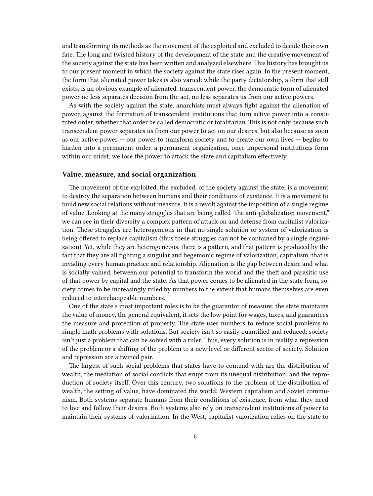and transforming its methods as the movement of the exploited and excluded to decide their own fate. The long and twisted history of the development of the state and the creative movement of the society against the state has been written and analyzed elsewhere. This history has brought us to our present moment in which the society against the state rises again. In the present moment, the form that alienated power takes is also varied: while the party dictatorship, a form that still exists, is an obvious example of alienated, transcendent power, the democratic form of alienated power no less separates decision from the act, no less separates us from our active powers.

As with the society against the state, anarchists must always fight against the alienation of power, against the formation of transcendent institutions that turn active power into a constituted order, whether that order be called democratic or totalitarian. This is not only because such transcendent power separates us from our power to act on our desires, but also because as soon as our active power — our power to transform society and to create our own lives — begins to harden into a permanent order, a permanent organization, once impersonal institutions form within our midst, we lose the power to attack the state and capitalism effectively.

#### <span id="page-5-0"></span>**Value, measure, and social organization**

The movement of the exploited, the excluded, of the society against the state, is a movement to destroy the separation between humans and their conditions of existence. It is a movement to build new social relations without measure. It is a revolt against the imposition of a single regime of value. Looking at the many struggles that are being called "the anti-globalization movement," we can see in their diversity a complex pattern of attack on and defense from capitalist valorization. These struggles are heterogeneous in that no single solution or system of valorization is being offered to replace capitalism (thus these struggles can not be contained by a single organization). Yet, while they are heterogeneous, there is a pattern, and that pattern is produced by the fact that they are all fighting a singular and hegemonic regime of valorization, capitalism, that is invading every human practice and relationship. Alienation is the gap between desire and what is socially valued, between our potential to transform the world and the theft and parasitic use of that power by capital and the state. As that power comes to be alienated in the state form, society comes to be increasingly ruled by numbers to the extent that humans themselves are even reduced to interchangeable numbers.

One of the state's most important roles is to be the guarantor of measure: the state maintains the value of money, the general equivalent, it sets the low point for wages, taxes, and guarantees the measure and protection of property. The state uses numbers to reduce social problems to simple math problems with solutions. But society isn't so easily quantified and reduced; society isn't just a problem that can be solved with a ruler. Thus, every solution is in reality a repression of the problem or a shifting of the problem to a new level or different sector of society. Solution and repression are a twined pair.

The largest of such social problems that states have to contend with are the distribution of wealth, the mediation of social conflicts that erupt from its unequal distribution, and the reproduction of society itself. Over this century, two solutions to the problem of the distribution of wealth, the setting of value, have dominated the world: Western capitalism and Soviet communism. Both systems separate humans from their conditions of existence, from what they need to live and follow their desires. Both systems also rely on transcendent institutions of power to maintain their systems of valorization. In the West, capitalist valorization relies on the state to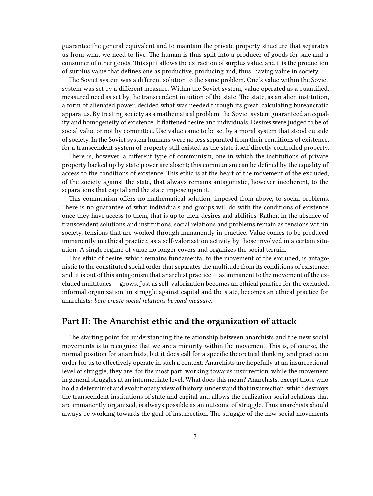guarantee the general equivalent and to maintain the private property structure that separates us from what we need to live. The human is thus split into a producer of goods for sale and a consumer of other goods. This split allows the extraction of surplus value, and it is the production of surplus value that defines one as productive, producing and, thus, having value in society.

The Soviet system was a different solution to the same problem. One's value within the Soviet system was set by a different measure. Within the Soviet system, value operated as a quantified, measured need as set by the transcendent intuition of the state. The state, as an alien institution, a form of alienated power, decided what was needed through its great, calculating bureaucratic apparatus. By treating society as a mathematical problem, the Soviet system guaranteed an equality and homogeneity of existence. It flattened desire and individuals. Desires were judged to be of social value or not by committee. Use value came to be set by a moral system that stood outside of society. In the Soviet system humans were no less separated from their conditions of existence, for a transcendent system of property still existed as the state itself directly controlled property.

There is, however, a different type of communism, one in which the institutions of private property backed up by state power are absent; this communism can be defined by the equality of access to the conditions of existence. This ethic is at the heart of the movement of the excluded, of the society against the state, that always remains antagonistic, however incoherent, to the separations that capital and the state impose upon it.

This communism offers no mathematical solution, imposed from above, to social problems. There is no guarantee of what individuals and groups will do with the conditions of existence once they have access to them, that is up to their desires and abilities. Rather, in the absence of transcendent solutions and institutions, social relations and problems remain as tensions within society, tensions that are worked through immanently in practice. Value comes to be produced immanently in ethical practice, as a self-valorization activity by those involved in a certain situation. A single regime of value no longer covers and organizes the social terrain.

This ethic of desire, which remains fundamental to the movement of the excluded, is antagonistic to the constituted social order that separates the multitude from its conditions of existence; and, it is out of this antagonism that anarchist practice — as immanent to the movement of the excluded multitudes — grows. Just as self-valorization becomes an ethical practice for the excluded, informal organization, in struggle against capital and the state, becomes an ethical practice for anarchists: *both create social relations beyond measure*.

## <span id="page-6-0"></span>**Part II: The Anarchist ethic and the organization of attack**

The starting point for understanding the relationship between anarchists and the new social movements is to recognize that we are a minority within the movement. This is, of course, the normal position for anarchists, but it does call for a specific theoretical thinking and practice in order for us to effectively operate in such a context. Anarchists are hopefully at an insurrectional level of struggle, they are, for the most part, working towards insurrection, while the movement in general struggles at an intermediate level. What does this mean? Anarchists, except those who hold a determinist and evolutionary view of history, understand that insurrection, which destroys the transcendent institutions of state and capital and allows the realization social relations that are immanently organized, is always possible as an outcome of struggle. Thus anarchists should always be working towards the goal of insurrection. The struggle of the new social movements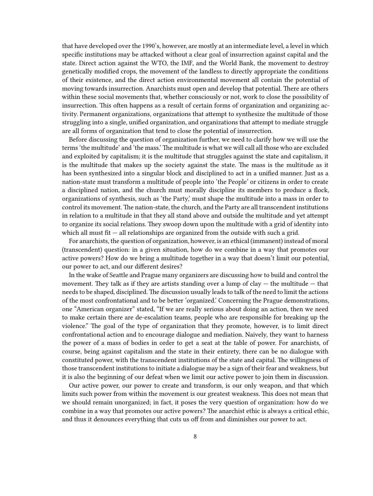that have developed over the 1990's, however, are mostly at an intermediate level, a level in which specific institutions may be attacked without a clear goal of insurrection against capital and the state. Direct action against the WTO, the IMF, and the World Bank, the movement to destroy genetically modified crops, the movement of the landless to directly appropriate the conditions of their existence, and the direct action environmental movement all contain the potential of moving towards insurrection. Anarchists must open and develop that potential. There are others within these social movements that, whether consciously or not, work to close the possibility of insurrection. This often happens as a result of certain forms of organization and organizing activity. Permanent organizations, organizations that attempt to synthesize the multitude of those struggling into a single, unified organization, and organizations that attempt to mediate struggle are all forms of organization that tend to close the potential of insurrection.

Before discussing the question of organization further, we need to clarify how we will use the terms 'the multitude' and 'the mass.' The multitude is what we will call all those who are excluded and exploited by capitalism; it is the multitude that struggles against the state and capitalism, it is the multitude that makes up the society against the state. The mass is the multitude as it has been synthesized into a singular block and disciplined to act in a unified manner. Just as a nation-state must transform a multitude of people into 'the People' or citizens in order to create a disciplined nation, and the church must morally discipline its members to produce a flock, organizations of synthesis, such as 'the Party,' must shape the multitude into a mass in order to control its movement. The nation-state, the church, and the Party are all transcendent institutions in relation to a multitude in that they all stand above and outside the multitude and yet attempt to organize its social relations. They swoop down upon the multitude with a grid of identity into which all must fit  $-$  all relationships are organized from the outside with such a grid.

For anarchists, the question of organization, however, is an ethical (immanent) instead of moral (transcendent) question: in a given situation, how do we combine in a way that promotes our active powers? How do we bring a multitude together in a way that doesn't limit our potential, our power to act, and our different desires?

In the wake of Seattle and Prague many organizers are discussing how to build and control the movement. They talk as if they are artists standing over a lump of clay  $-$  the multitude  $-$  that needs to be shaped, disciplined. The discussion usually leads to talk of the need to limit the actions of the most confrontational and to be better 'organized.' Concerning the Prague demonstrations, one "American organizer" stated, "If we are really serious about doing an action, then we need to make certain there are de-escalation teams, people who are responsible for breaking up the violence." The goal of the type of organization that they promote, however, is to limit direct confrontational action and to encourage dialogue and mediation. Naively, they want to harness the power of a mass of bodies in order to get a seat at the table of power. For anarchists, of course, being against capitalism and the state in their entirety, there can be no dialogue with constituted power, with the transcendent institutions of the state and capital. The willingness of those transcendent institutions to initiate a dialogue may be a sign of their fear and weakness, but it is also the beginning of our defeat when we limit our active power to join them in discussion.

Our active power, our power to create and transform, is our only weapon, and that which limits such power from within the movement is our greatest weakness. This does not mean that we should remain unorganized; in fact, it poses the very question of organization: how do we combine in a way that promotes our active powers? The anarchist ethic is always a critical ethic, and thus it denounces everything that cuts us off from and diminishes our power to act.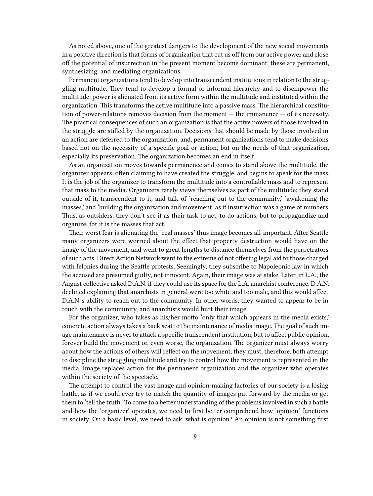As noted above, one of the greatest dangers to the development of the new social movements in a positive direction is that forms of organization that cut us off from our active power and close off the potential of insurrection in the present moment become dominant: these are permanent, synthesizing, and mediating organizations.

Permanent organizations tend to develop into transcendent institutions in relation to the struggling multitude. They tend to develop a formal or informal hierarchy and to disempower the multitude: power is alienated from its active form within the multitude and instituted within the organization. This transforms the active multitude into a passive mass. The hierarchical constitution of power-relations removes decision from the moment — the immanence — of its necessity. The practical consequences of such an organization is that the active powers of those involved in the struggle are stifled by the organization. Decisions that should be made by those involved in an action are deferred to the organization; and, permanent organizations tend to make decisions based not on the necessity of a specific goal or action, but on the needs of that organization, especially its preservation. The organization becomes an end in itself.

As an organization moves towards permanence and comes to stand above the multitude, the organizer appears, often claiming to have created the struggle, and begins to speak for the mass. It is the job of the organizer to transform the multitude into a controllable mass and to represent that mass to the media. Organizers rarely views themselves as part of the multitude; they stand outside of it, transcendent to it, and talk of 'reaching out to the community,' 'awakening the masses,' and 'building the organization and movement' as if insurrection was a game of numbers. Thus, as outsiders, they don't see it as their task to act, to do actions, but to propagandize and organize, for it is the masses that act.

Their worst fear is alienating the 'real masses' thus image becomes all-important. After Seattle many organizers were worried about the effect that property destruction would have on the image of the movement, and went to great lengths to distance themselves from the perpetrators of such acts. Direct Action Network went to the extreme of not offering legal aid to those charged with felonies during the Seattle protests. Seemingly, they subscribe to Napoleonic law in which the accused are presumed guilty, not innocent. Again, their image was at stake. Later, in L.A., the August collective asked D.A.N. if they could use its space for the L.A. anarchist conference. D.A.N. declined explaining that anarchists in general were too white and too male, and this would affect D.A.N.'s ability to reach out to the community. In other words, they wanted to appear to be in touch with the community, and anarchists would hurt their image.

For the organizer, who takes as his/her motto 'only that which appears in the media exists,' concrete action always takes a back seat to the maintenance of media image. The goal of such image maintenance is never to attack a specific transcendent institution, but to affect public opinion, forever build the movement or, even worse, the organization. The organizer must always worry about how the actions of others will reflect on the movement; they must, therefore, both attempt to discipline the struggling multitude and try to control how the movement is represented in the media. Image replaces action for the permanent organization and the organizer who operates within the society of the spectacle.

The attempt to control the vast image and opinion-making factories of our society is a losing battle, as if we could ever try to match the quantity of images put forward by the media or get them to 'tell the truth.' To come to a better understanding of the problems involved in such a battle and how the 'organizer' operates, we need to first better comprehend how 'opinion' functions in society. On a basic level, we need to ask, what is opinion? An opinion is not something first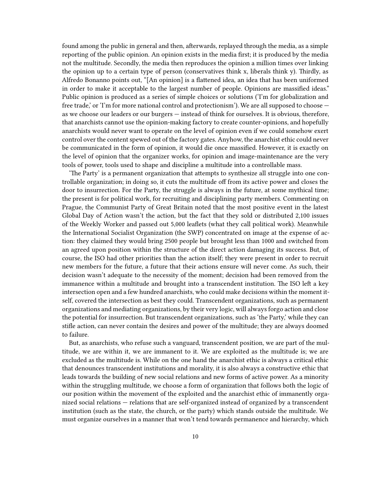found among the public in general and then, afterwards, replayed through the media, as a simple reporting of the public opinion. An opinion exists in the media first; it is produced by the media not the multitude. Secondly, the media then reproduces the opinion a million times over linking the opinion up to a certain type of person (conservatives think x, liberals think y). Thirdly, as Alfredo Bonanno points out, "[An opinion] is a flattened idea, an idea that has been uniformed in order to make it acceptable to the largest number of people. Opinions are massified ideas." Public opinion is produced as a series of simple choices or solutions ('I'm for globalization and free trade,' or 'I'm for more national control and protectionism'). We are all supposed to choose as we choose our leaders or our burgers — instead of think for ourselves. It is obvious, therefore, that anarchists cannot use the opinion-making factory to create counter-opinions, and hopefully anarchists would never want to operate on the level of opinion even if we could somehow exert control over the content spewed out of the factory gates. Anyhow, the anarchist ethic could never be communicated in the form of opinion, it would die once massified. However, it is exactly on the level of opinion that the organizer works, for opinion and image-maintenance are the very tools of power, tools used to shape and discipline a multitude into a controllable mass.

'The Party' is a permanent organization that attempts to synthesize all struggle into one controllable organization; in doing so, it cuts the multitude off from its active power and closes the door to insurrection. For the Party, the struggle is always in the future, at some mythical time; the present is for political work, for recruiting and disciplining party members. Commenting on Prague, the Communist Party of Great Britain noted that the most positive event in the latest Global Day of Action wasn't the action, but the fact that they sold or distributed 2,100 issues of the Weekly Worker and passed out 5,000 leaflets (what they call political work). Meanwhile the International Socialist Organization (the SWP) concentrated on image at the expense of action: they claimed they would bring 2500 people but brought less than 1000 and switched from an agreed upon position within the structure of the direct action damaging its success. But, of course, the ISO had other priorities than the action itself; they were present in order to recruit new members for the future, a future that their actions ensure will never come. As such, their decision wasn't adequate to the necessity of the moment; decision had been removed from the immanence within a multitude and brought into a transcendent institution. The ISO left a key intersection open and a few hundred anarchists, who could make decisions within the moment itself, covered the intersection as best they could. Transcendent organizations, such as permanent organizations and mediating organizations, by their very logic, will always forgo action and close the potential for insurrection. But transcendent organizations, such as 'the Party,' while they can stifle action, can never contain the desires and power of the multitude; they are always doomed to failure.

But, as anarchists, who refuse such a vanguard, transcendent position, we are part of the multitude, we are within it, we are immanent to it. We are exploited as the multitude is; we are excluded as the multitude is. While on the one hand the anarchist ethic is always a critical ethic that denounces transcendent institutions and morality, it is also always a constructive ethic that leads towards the building of new social relations and new forms of active power. As a minority within the struggling multitude, we choose a form of organization that follows both the logic of our position within the movement of the exploited and the anarchist ethic of immanently organized social relations — relations that are self-organized instead of organized by a transcendent institution (such as the state, the church, or the party) which stands outside the multitude. We must organize ourselves in a manner that won't tend towards permanence and hierarchy, which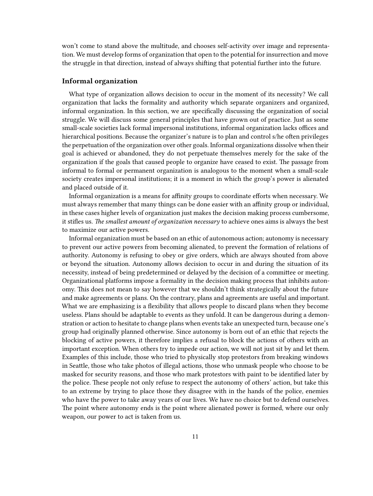won't come to stand above the multitude, and chooses self-activity over image and representation. We must develop forms of organization that open to the potential for insurrection and move the struggle in that direction, instead of always shifting that potential further into the future.

### <span id="page-10-0"></span>**Informal organization**

What type of organization allows decision to occur in the moment of its necessity? We call organization that lacks the formality and authority which separate organizers and organized, informal organization. In this section, we are specifically discussing the organization of social struggle. We will discuss some general principles that have grown out of practice. Just as some small-scale societies lack formal impersonal institutions, informal organization lacks offices and hierarchical positions. Because the organizer's nature is to plan and control s/he often privileges the perpetuation of the organization over other goals. Informal organizations dissolve when their goal is achieved or abandoned, they do not perpetuate themselves merely for the sake of the organization if the goals that caused people to organize have ceased to exist. The passage from informal to formal or permanent organization is analogous to the moment when a small-scale society creates impersonal institutions; it is a moment in which the group's power is alienated and placed outside of it.

Informal organization is a means for affinity groups to coordinate efforts when necessary. We must always remember that many things can be done easier with an affinity group or individual, in these cases higher levels of organization just makes the decision making process cumbersome, it stifles us. *The smallest amount of organization necessary* to achieve ones aims is always the best to maximize our active powers.

Informal organization must be based on an ethic of autonomous action; autonomy is necessary to prevent our active powers from becoming alienated, to prevent the formation of relations of authority. Autonomy is refusing to obey or give orders, which are always shouted from above or beyond the situation. Autonomy allows decision to occur in and during the situation of its necessity, instead of being predetermined or delayed by the decision of a committee or meeting. Organizational platforms impose a formality in the decision making process that inhibits autonomy. This does not mean to say however that we shouldn't think strategically about the future and make agreements or plans. On the contrary, plans and agreements are useful and important. What we are emphasizing is a flexibility that allows people to discard plans when they become useless. Plans should be adaptable to events as they unfold. It can be dangerous during a demonstration or action to hesitate to change plans when events take an unexpected turn, because one's group had originally planned otherwise. Since autonomy is born out of an ethic that rejects the blocking of active powers, it therefore implies a refusal to block the actions of others with an important exception. When others try to impede our action, we will not just sit by and let them. Examples of this include, those who tried to physically stop protestors from breaking windows in Seattle, those who take photos of illegal actions, those who unmask people who choose to be masked for security reasons, and those who mark protestors with paint to be identified later by the police. These people not only refuse to respect the autonomy of others' action, but take this to an extreme by trying to place those they disagree with in the hands of the police, enemies who have the power to take away years of our lives. We have no choice but to defend ourselves. The point where autonomy ends is the point where alienated power is formed, where our only weapon, our power to act is taken from us.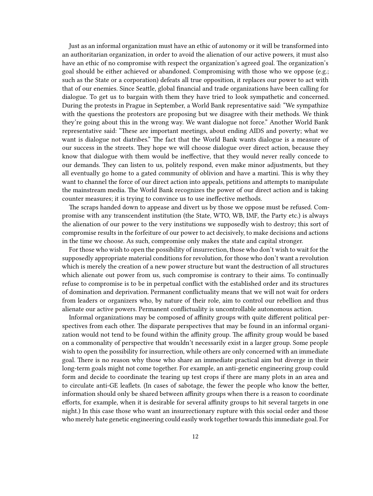Just as an informal organization must have an ethic of autonomy or it will be transformed into an authoritarian organization, in order to avoid the alienation of our active powers, it must also have an ethic of no compromise with respect the organization's agreed goal. The organization's goal should be either achieved or abandoned. Compromising with those who we oppose (e.g.; such as the State or a corporation) defeats all true opposition, it replaces our power to act with that of our enemies. Since Seattle, global financial and trade organizations have been calling for dialogue. To get us to bargain with them they have tried to look sympathetic and concerned. During the protests in Prague in September, a World Bank representative said: "We sympathize with the questions the protestors are proposing but we disagree with their methods. We think they're going about this in the wrong way. We want dialogue not force." Another World Bank representative said: "These are important meetings, about ending AIDS and poverty; what we want is dialogue not diatribes." The fact that the World Bank wants dialogue is a measure of our success in the streets. They hope we will choose dialogue over direct action, because they know that dialogue with them would be ineffective, that they would never really concede to our demands. They can listen to us, politely respond, even make minor adjustments, but they all eventually go home to a gated community of oblivion and have a martini. This is why they want to channel the force of our direct action into appeals, petitions and attempts to manipulate the mainstream media. The World Bank recognizes the power of our direct action and is taking counter measures; it is trying to convince us to use ineffective methods.

The scraps handed down to appease and divert us by those we oppose must be refused. Compromise with any transcendent institution (the State, WTO, WB, IMF, the Party etc.) is always the alienation of our power to the very institutions we supposedly wish to destroy; this sort of compromise results in the forfeiture of our power to act decisively, to make decisions and actions in the time we choose. As such, compromise only makes the state and capital stronger.

For those who wish to open the possibility of insurrection, those who don't wish to wait for the supposedly appropriate material conditions for revolution, for those who don't want a revolution which is merely the creation of a new power structure but want the destruction of all structures which alienate out power from us, such compromise is contrary to their aims. To continually refuse to compromise is to be in perpetual conflict with the established order and its structures of domination and deprivation. Permanent conflictuality means that we will not wait for orders from leaders or organizers who, by nature of their role, aim to control our rebellion and thus alienate our active powers. Permanent conflictuality is uncontrollable autonomous action.

Informal organizations may be composed of affinity groups with quite different political perspectives from each other. The disparate perspectives that may be found in an informal organization would not tend to be found within the affinity group. The affinity group would be based on a commonality of perspective that wouldn't necessarily exist in a larger group. Some people wish to open the possibility for insurrection, while others are only concerned with an immediate goal. There is no reason why those who share an immediate practical aim but diverge in their long-term goals might not come together. For example, an anti-genetic engineering group could form and decide to coordinate the tearing up test crops if there are many plots in an area and to circulate anti-GE leaflets. (In cases of sabotage, the fewer the people who know the better, information should only be shared between affinity groups when there is a reason to coordinate efforts, for example, when it is desirable for several affinity groups to hit several targets in one night.) In this case those who want an insurrectionary rupture with this social order and those who merely hate genetic engineering could easily work together towards this immediate goal. For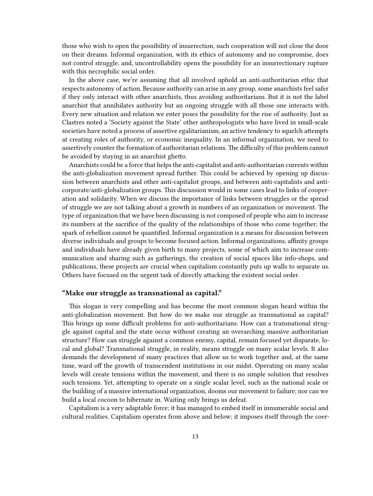those who wish to open the possibility of insurrection, such cooperation will not close the door on their dreams. Informal organization, with its ethics of autonomy and no compromise, does not control struggle; and, uncontrollability opens the possibility for an insurrectionary rupture with this necrophilic social order.

In the above case, we're assuming that all involved uphold an anti-authoritarian ethic that respects autonomy of action. Because authority can arise in any group, some anarchists feel safer if they only interact with other anarchists, thus avoiding authoritarians. But it is not the label anarchist that annihilates authority but an ongoing struggle with all those one interacts with. Every new situation and relation we enter poses the possibility for the rise of authority. Just as Clastres noted a 'Society against the State' other anthropologists who have lived in small-scale societies have noted a process of assertive egalitarianism, an active tendency to squelch attempts at creating roles of authority, or economic inequality. In an informal organization, we need to assertively counter the formation of authoritarian relations. The difficulty of this problem cannot be avoided by staying in an anarchist ghetto.

Anarchists could be a force that helps the anti-capitalist and anti-authoritarian currents within the anti-globalization movement spread further. This could be achieved by opening up discussion between anarchists and other anti-capitalist groups, and between anti-capitalists and anticorporate/anti-globalization groups. This discussion would in some cases lead to links of cooperation and solidarity. When we discuss the importance of links between struggles or the spread of struggle we are not talking about a growth in numbers of an organization or movement. The type of organization that we have been discussing is not composed of people who aim to increase its numbers at the sacrifice of the quality of the relationships of those who come together; the spark of rebellion cannot be quantified. Informal organization is a means for discussion between diverse individuals and groups to become focused action. Informal organizations, affinity groups and individuals have already given birth to many projects, some of which aim to increase communication and sharing such as gatherings, the creation of social spaces like info-shops, and publications, these projects are crucial when capitalism constantly puts up walls to separate us. Others have focused on the urgent task of directly attacking the existent social order.

### <span id="page-12-0"></span>**"Make our struggle as transnational as capital."**

This slogan is very compelling and has become the most common slogan heard within the anti-globalization movement. But how do we make our struggle as transnational as capital? This brings up some difficult problems for anti-authoritarians. How can a transnational struggle against capital and the state occur without creating an overarching massive authoritarian structure? How can struggle against a common enemy, capital, remain focused yet disparate, local and global? Transnational struggle, in reality, means struggle on many scalar levels. It also demands the development of many practices that allow us to work together and, at the same time, ward off the growth of transcendent institutions in our midst. Operating on many scalar levels will create tensions within the movement, and there is no simple solution that resolves such tensions. Yet, attempting to operate on a single scalar level, such as the national scale or the building of a massive international organization, dooms our movement to failure; nor can we build a local cocoon to hibernate in. Waiting only brings us defeat.

Capitalism is a very adaptable force; it has managed to embed itself in innumerable social and cultural realities. Capitalism operates from above and below; it imposes itself through the coer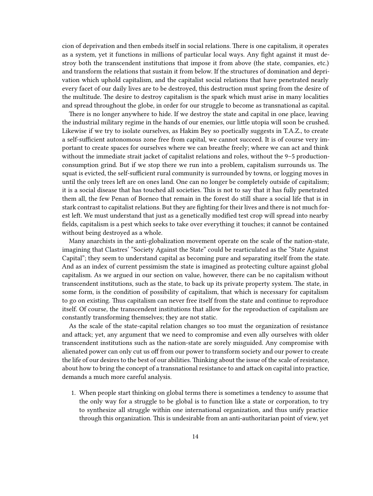cion of deprivation and then embeds itself in social relations. There is one capitalism, it operates as a system, yet it functions in millions of particular local ways. Any fight against it must destroy both the transcendent institutions that impose it from above (the state, companies, etc.) and transform the relations that sustain it from below. If the structures of domination and deprivation which uphold capitalism, and the capitalist social relations that have penetrated nearly every facet of our daily lives are to be destroyed, this destruction must spring from the desire of the multitude. The desire to destroy capitalism is the spark which must arise in many localities and spread throughout the globe, in order for our struggle to become as transnational as capital.

There is no longer anywhere to hide. If we destroy the state and capital in one place, leaving the industrial military regime in the hands of our enemies, our little utopia will soon be crushed. Likewise if we try to isolate ourselves, as Hakim Bey so poetically suggests in T.A.Z., to create a self-sufficient autonomous zone free from capital, we cannot succeed. It is of course very important to create spaces for ourselves where we can breathe freely; where we can act and think without the immediate strait jacket of capitalist relations and roles, without the 9–5 productionconsumption grind. But if we stop there we run into a problem, capitalism surrounds us. The squat is evicted, the self-sufficient rural community is surrounded by towns, or logging moves in until the only trees left are on ones land. One can no longer be completely outside of capitalism; it is a social disease that has touched all societies. This is not to say that it has fully penetrated them all, the few Penan of Borneo that remain in the forest do still share a social life that is in stark contrast to capitalist relations. But they are fighting for their lives and there is not much forest left. We must understand that just as a genetically modified test crop will spread into nearby fields, capitalism is a pest which seeks to take over everything it touches; it cannot be contained without being destroyed as a whole.

Many anarchists in the anti-globalization movement operate on the scale of the nation-state, imagining that Clastres' "Society Against the State" could be rearticulated as the "State Against Capital"; they seem to understand capital as becoming pure and separating itself from the state. And as an index of current pessimism the state is imagined as protecting culture against global capitalism. As we argued in our section on value, however, there can be no capitalism without transcendent institutions, such as the state, to back up its private property system. The state, in some form, is the condition of possibility of capitalism, that which is necessary for capitalism to go on existing. Thus capitalism can never free itself from the state and continue to reproduce itself. Of course, the transcendent institutions that allow for the reproduction of capitalism are constantly transforming themselves; they are not static.

As the scale of the state-capital relation changes so too must the organization of resistance and attack; yet, any argument that we need to compromise and even ally ourselves with older transcendent institutions such as the nation-state are sorely misguided. Any compromise with alienated power can only cut us off from our power to transform society and our power to create the life of our desires to the best of our abilities. Thinking about the issue of the scale of resistance, about how to bring the concept of a transnational resistance to and attack on capital into practice, demands a much more careful analysis.

1. When people start thinking on global terms there is sometimes a tendency to assume that the only way for a struggle to be global is to function like a state or corporation, to try to synthesize all struggle within one international organization, and thus unify practice through this organization. This is undesirable from an anti-authoritarian point of view, yet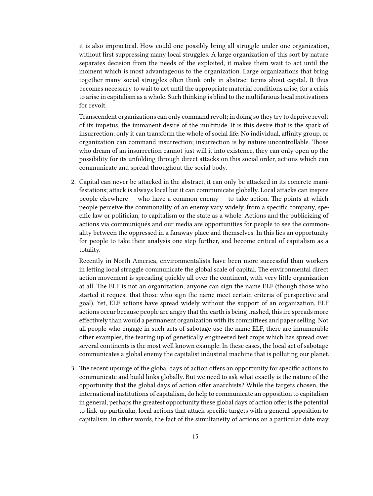it is also impractical. How could one possibly bring all struggle under one organization, without first suppressing many local struggles. A large organization of this sort by nature separates decision from the needs of the exploited, it makes them wait to act until the moment which is most advantageous to the organization. Large organizations that bring together many social struggles often think only in abstract terms about capital. It thus becomes necessary to wait to act until the appropriate material conditions arise, for a crisis to arise in capitalism as a whole. Such thinking is blind to the multifarious local motivations for revolt.

Transcendent organizations can only command revolt; in doing so they try to deprive revolt of its impetus, the immanent desire of the multitude. It is this desire that is the spark of insurrection; only it can transform the whole of social life. No individual, affinity group, or organization can command insurrection; insurrection is by nature uncontrollable. Those who dream of an insurrection cannot just will it into existence, they can only open up the possibility for its unfolding through direct attacks on this social order, actions which can communicate and spread throughout the social body.

2. Capital can never be attacked in the abstract, it can only be attacked in its concrete manifestations; attack is always local but it can communicate globally. Local attacks can inspire people elsewhere — who have a common enemy — to take action. The points at which people perceive the commonality of an enemy vary widely, from a specific company, specific law or politician, to capitalism or the state as a whole. Actions and the publicizing of actions via communiqués and our media are opportunities for people to see the commonality between the oppressed in a faraway place and themselves. In this lies an opportunity for people to take their analysis one step further, and become critical of capitalism as a totality.

Recently in North America, environmentalists have been more successful than workers in letting local struggle communicate the global scale of capital. The environmental direct action movement is spreading quickly all over the continent, with very little organization at all. The ELF is not an organization, anyone can sign the name ELF (though those who started it request that those who sign the name meet certain criteria of perspective and goal). Yet, ELF actions have spread widely without the support of an organization, ELF actions occur because people are angry that the earth is being trashed, this ire spreads more effectively than would a permanent organization with its committees and paper selling. Not all people who engage in such acts of sabotage use the name ELF, there are innumerable other examples, the tearing up of genetically engineered test crops which has spread over several continents is the most well known example. In these cases, the local act of sabotage communicates a global enemy the capitalist industrial machine that is polluting our planet.

3. The recent upsurge of the global days of action offers an opportunity for specific actions to communicate and build links globally. But we need to ask what exactly is the nature of the opportunity that the global days of action offer anarchists? While the targets chosen, the international institutions of capitalism, do help to communicate an opposition to capitalism in general, perhaps the greatest opportunity these global days of action offer is the potential to link-up particular, local actions that attack specific targets with a general opposition to capitalism. In other words, the fact of the simultaneity of actions on a particular date may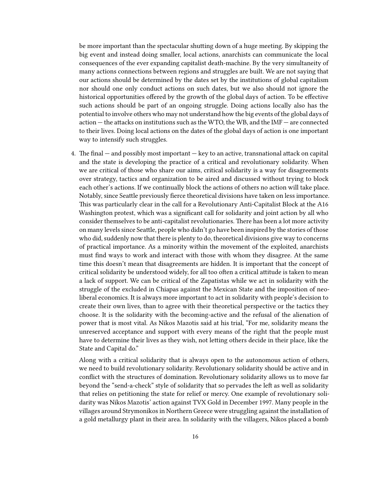be more important than the spectacular shutting down of a huge meeting. By skipping the big event and instead doing smaller, local actions, anarchists can communicate the local consequences of the ever expanding capitalist death-machine. By the very simultaneity of many actions connections between regions and struggles are built. We are not saying that our actions should be determined by the dates set by the institutions of global capitalism nor should one only conduct actions on such dates, but we also should not ignore the historical opportunities offered by the growth of the global days of action. To be effective such actions should be part of an ongoing struggle. Doing actions locally also has the potential to involve others who may not understand how the big events of the global days of action — the attacks on institutions such as the WTO, the WB, and the IMF — are connected to their lives. Doing local actions on the dates of the global days of action is one important way to intensify such struggles.

4. The final  $-$  and possibly most important  $-$  key to an active, transnational attack on capital and the state is developing the practice of a critical and revolutionary solidarity. When we are critical of those who share our aims, critical solidarity is a way for disagreements over strategy, tactics and organization to be aired and discussed without trying to block each other's actions. If we continually block the actions of others no action will take place. Notably, since Seattle previously fierce theoretical divisions have taken on less importance. This was particularly clear in the call for a Revolutionary Anti-Capitalist Block at the A16 Washington protest, which was a significant call for solidarity and joint action by all who consider themselves to be anti-capitalist revolutionaries. There has been a lot more activity on many levels since Seattle, people who didn't go have been inspired by the stories of those who did, suddenly now that there is plenty to do, theoretical divisions give way to concerns of practical importance. As a minority within the movement of the exploited, anarchists must find ways to work and interact with those with whom they disagree. At the same time this doesn't mean that disagreements are hidden. It is important that the concept of critical solidarity be understood widely, for all too often a critical attitude is taken to mean a lack of support. We can be critical of the Zapatistas while we act in solidarity with the struggle of the excluded in Chiapas against the Mexican State and the imposition of neoliberal economics. It is always more important to act in solidarity with people's decision to create their own lives, than to agree with their theoretical perspective or the tactics they choose. It is the solidarity with the becoming-active and the refusal of the alienation of power that is most vital. As Nikos Mazotis said at his trial, "For me, solidarity means the unreserved acceptance and support with every means of the right that the people must have to determine their lives as they wish, not letting others decide in their place, like the State and Capital do."

Along with a critical solidarity that is always open to the autonomous action of others, we need to build revolutionary solidarity. Revolutionary solidarity should be active and in conflict with the structures of domination. Revolutionary solidarity allows us to move far beyond the "send-a-check" style of solidarity that so pervades the left as well as solidarity that relies on petitioning the state for relief or mercy. One example of revolutionary solidarity was Nikos Mazotis' action against TVX Gold in December 1997. Many people in the villages around Strymonikos in Northern Greece were struggling against the installation of a gold metallurgy plant in their area. In solidarity with the villagers, Nikos placed a bomb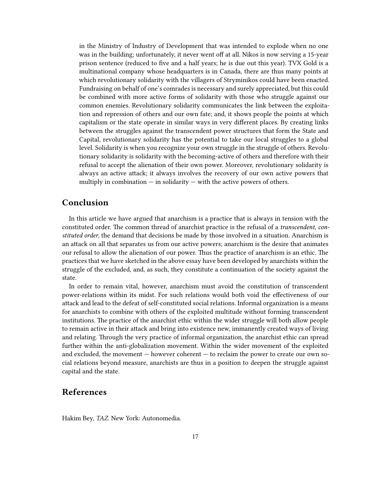in the Ministry of Industry of Development that was intended to explode when no one was in the building; unfortunately, it never went off at all. Nikos is now serving a 15-year prison sentence (reduced to five and a half years; he is due out this year). TVX Gold is a multinational company whose headquarters is in Canada, there are thus many points at which revolutionary solidarity with the villagers of Stryminikos could have been enacted. Fundraising on behalf of one's comrades is necessary and surely appreciated, but this could be combined with more active forms of solidarity with those who struggle against our common enemies. Revolutionary solidarity communicates the link between the exploitation and repression of others and our own fate; and, it shows people the points at which capitalism or the state operate in similar ways in very different places. By creating links between the struggles against the transcendent power structures that form the State and Capital, revolutionary solidarity has the potential to take our local struggles to a global level. Solidarity is when you recognize your own struggle in the struggle of others. Revolutionary solidarity is solidarity with the becoming-active of others and therefore with their refusal to accept the alienation of their own power. Moreover, revolutionary solidarity is always an active attack; it always involves the recovery of our own active powers that multiply in combination  $-$  in solidarity  $-$  with the active powers of others.

## <span id="page-16-0"></span>**Conclusion**

In this article we have argued that anarchism is a practice that is always in tension with the constituted order. The common thread of anarchist practice is the refusal of a *transcendent, constituted order*, the demand that decisions be made by those involved in a situation. Anarchism is an attack on all that separates us from our active powers; anarchism is the desire that animates our refusal to allow the alienation of our power. Thus the practice of anarchism is an ethic. The practices that we have sketched in the above essay have been developed by anarchists within the struggle of the excluded, and, as such, they constitute a continuation of the society against the state.

In order to remain vital, however, anarchism must avoid the constitution of transcendent power-relations within its midst. For such relations would both void the effectiveness of our attack and lead to the defeat of self-constituted social relations. Informal organization is a means for anarchists to combine with others of the exploited multitude without forming transcendent institutions. The practice of the anarchist ethic within the wider struggle will both allow people to remain active in their attack and bring into existence new, immanently created ways of living and relating. Through the very practice of informal organization, the anarchist ethic can spread further within the anti-globalization movement. Within the wider movement of the exploited and excluded, the movement — however coherent — to reclaim the power to create our own social relations beyond measure, anarchists are thus in a position to deepen the struggle against capital and the state.

## <span id="page-16-1"></span>**References**

Hakim Bey, *TAZ*. New York: Autonomedia.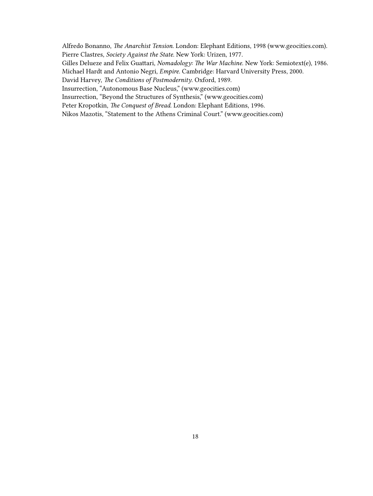Alfredo Bonanno, *The Anarchist Tension*. London: Elephant Editions, 1998 [\(www.geocities.com](http://www.geocities.com/kk_abacus/ioaa/tension.html)). Pierre Clastres, *Society Against the State*. New York: Urizen, 1977. Gilles Delueze and Felix Guattari, *Nomadology: The War Machine*. New York: Semiotext(e), 1986. Michael Hardt and Antonio Negri, *Empire*. Cambridge: Harvard University Press, 2000. David Harvey, *The Conditions of Postmodernity*. Oxford, 1989. Insurrection, "Autonomous Base Nucleus," [\(www.geocities.com\)](http://www.geocities.com/kk_abacus) Insurrection, "Beyond the Structures of Synthesis,"([www.geocities.com\)](http://www.geocities.com/kk_abacus) Peter Kropotkin, *The Conquest of Bread*. London: Elephant Editions, 1996. Nikos Mazotis, "Statement to the Athens Criminal Court." [\(www.geocities.com\)](http://www.geocities.com/kk_abacus/mazotis.html)

18